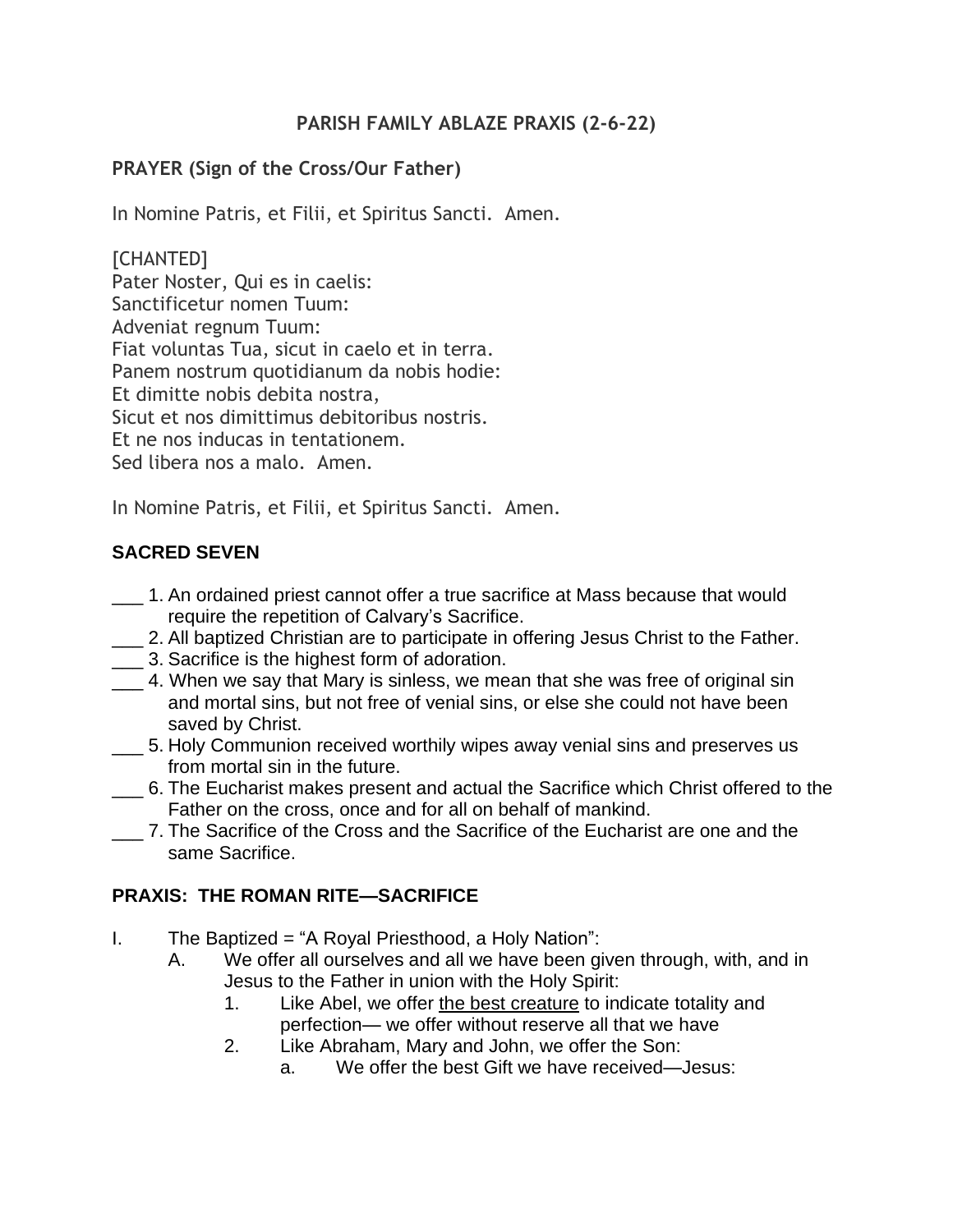#### **PARISH FAMILY ABLAZE PRAXIS (2-6-22)**

#### **PRAYER (Sign of the Cross/Our Father)**

In Nomine Patris, et Filii, et Spiritus Sancti. Amen.

[CHANTED] Pater Noster, Qui es in caelis: Sanctificetur nomen Tuum: Adveniat regnum Tuum: Fiat voluntas Tua, sicut in caelo et in terra. Panem nostrum quotidianum da nobis hodie: Et dimitte nobis debita nostra, Sicut et nos dimittimus debitoribus nostris. Et ne nos inducas in tentationem. Sed libera nos a malo. Amen.

In Nomine Patris, et Filii, et Spiritus Sancti. Amen.

# **SACRED SEVEN**

- \_\_\_ 1. An ordained priest cannot offer a true sacrifice at Mass because that would require the repetition of Calvary's Sacrifice.
- **\_\_\_ 2.** All baptized Christian are to participate in offering Jesus Christ to the Father.
- \_\_\_ 3. Sacrifice is the highest form of adoration.
- 4. When we say that Mary is sinless, we mean that she was free of original sin and mortal sins, but not free of venial sins, or else she could not have been saved by Christ.
- \_\_\_ 5. Holy Communion received worthily wipes away venial sins and preserves us from mortal sin in the future.
- \_\_\_ 6. The Eucharist makes present and actual the Sacrifice which Christ offered to the Father on the cross, once and for all on behalf of mankind.
- \_\_\_ 7. The Sacrifice of the Cross and the Sacrifice of the Eucharist are one and the same Sacrifice.

# **PRAXIS: THE ROMAN RITE—SACRIFICE**

- I. The Baptized = "A Royal Priesthood, a Holy Nation":
	- A. We offer all ourselves and all we have been given through, with, and in Jesus to the Father in union with the Holy Spirit:
		- 1. Like Abel, we offer the best creature to indicate totality and perfection— we offer without reserve all that we have
		- 2. Like Abraham, Mary and John, we offer the Son:
			- a. We offer the best Gift we have received—Jesus: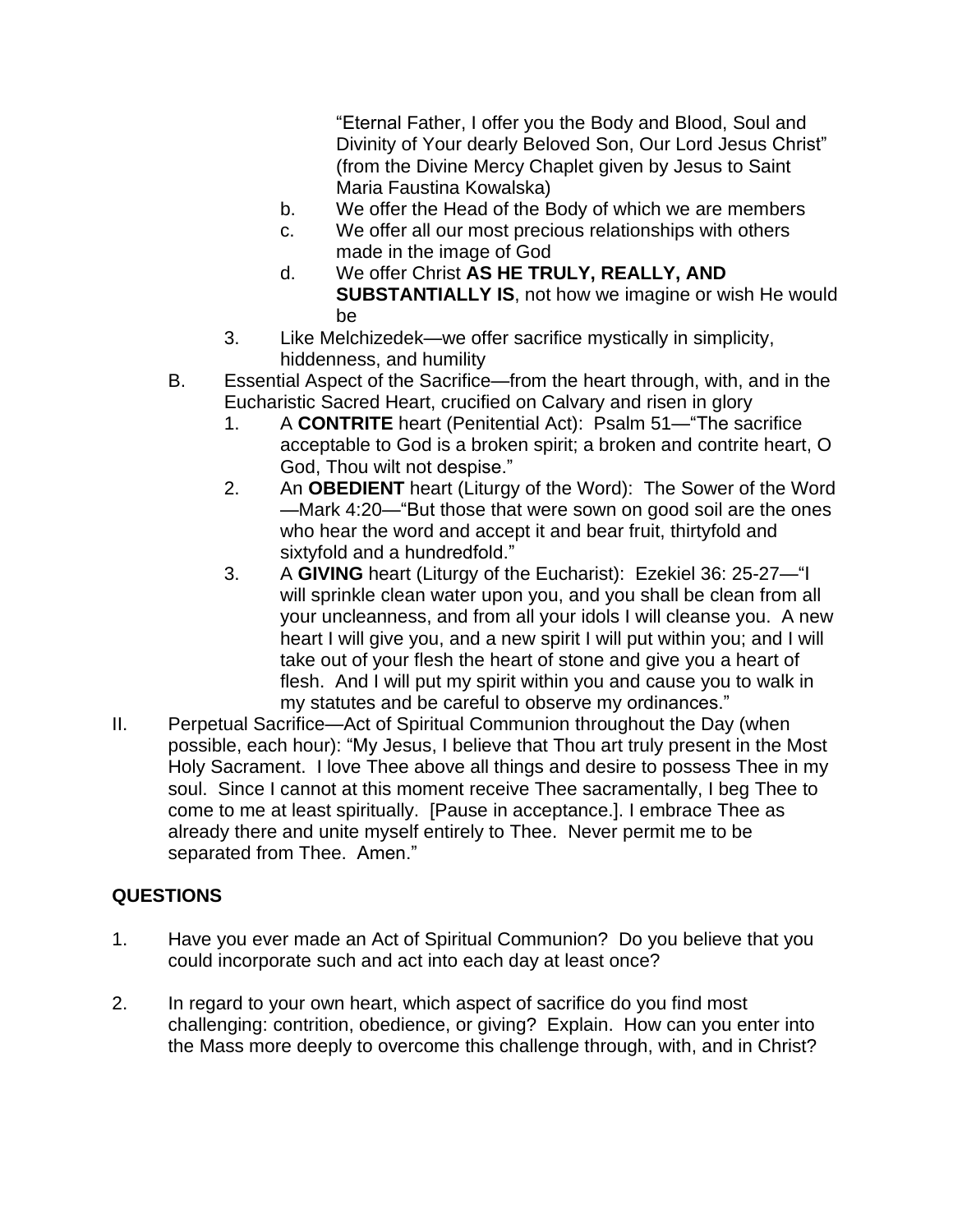"Eternal Father, I offer you the Body and Blood, Soul and Divinity of Your dearly Beloved Son, Our Lord Jesus Christ" (from the Divine Mercy Chaplet given by Jesus to Saint Maria Faustina Kowalska)

- b. We offer the Head of the Body of which we are members
- c. We offer all our most precious relationships with others made in the image of God
- d. We offer Christ **AS HE TRULY, REALLY, AND SUBSTANTIALLY IS**, not how we imagine or wish He would be
- 3. Like Melchizedek—we offer sacrifice mystically in simplicity, hiddenness, and humility
- B. Essential Aspect of the Sacrifice—from the heart through, with, and in the Eucharistic Sacred Heart, crucified on Calvary and risen in glory
	- 1. A **CONTRITE** heart (Penitential Act): Psalm 51—"The sacrifice acceptable to God is a broken spirit; a broken and contrite heart, O God, Thou wilt not despise."
	- 2. An **OBEDIENT** heart (Liturgy of the Word): The Sower of the Word —Mark 4:20—"But those that were sown on good soil are the ones who hear the word and accept it and bear fruit, thirtyfold and sixtyfold and a hundredfold."
	- 3. A **GIVING** heart (Liturgy of the Eucharist): Ezekiel 36: 25-27—"I will sprinkle clean water upon you, and you shall be clean from all your uncleanness, and from all your idols I will cleanse you. A new heart I will give you, and a new spirit I will put within you; and I will take out of your flesh the heart of stone and give you a heart of flesh. And I will put my spirit within you and cause you to walk in my statutes and be careful to observe my ordinances."
- II. Perpetual Sacrifice—Act of Spiritual Communion throughout the Day (when possible, each hour): "My Jesus, I believe that Thou art truly present in the Most Holy Sacrament. I love Thee above all things and desire to possess Thee in my soul. Since I cannot at this moment receive Thee sacramentally, I beg Thee to come to me at least spiritually. [Pause in acceptance.]. I embrace Thee as already there and unite myself entirely to Thee. Never permit me to be separated from Thee. Amen."

# **QUESTIONS**

- 1. Have you ever made an Act of Spiritual Communion? Do you believe that you could incorporate such and act into each day at least once?
- 2. In regard to your own heart, which aspect of sacrifice do you find most challenging: contrition, obedience, or giving? Explain. How can you enter into the Mass more deeply to overcome this challenge through, with, and in Christ?